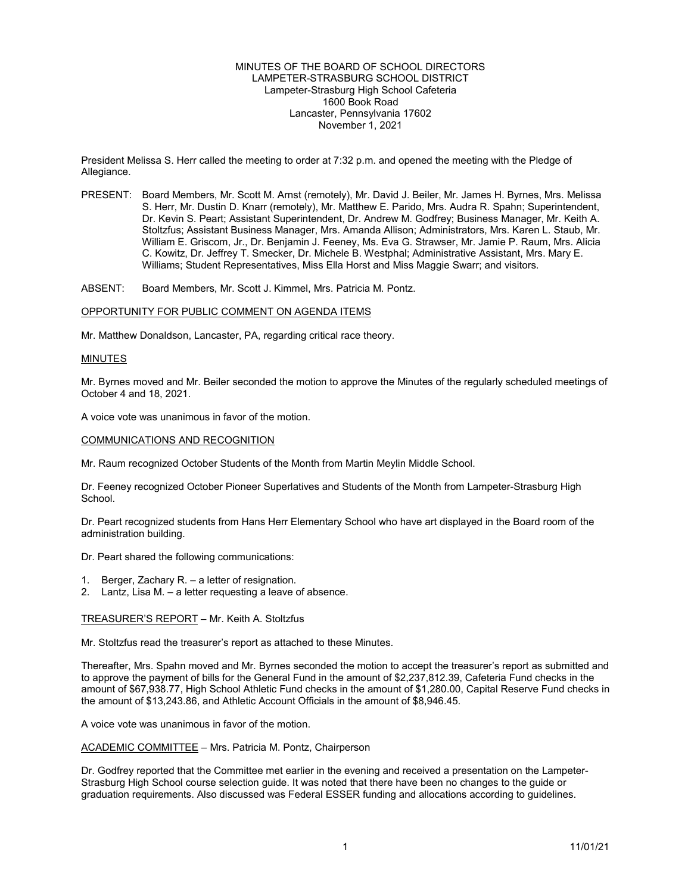## MINUTES OF THE BOARD OF SCHOOL DIRECTORS LAMPETER-STRASBURG SCHOOL DISTRICT Lampeter-Strasburg High School Cafeteria 1600 Book Road Lancaster, Pennsylvania 17602 November 1, 2021

President Melissa S. Herr called the meeting to order at 7:32 p.m. and opened the meeting with the Pledge of Allegiance.

PRESENT: Board Members, Mr. Scott M. Arnst (remotely), Mr. David J. Beiler, Mr. James H. Byrnes, Mrs. Melissa S. Herr, Mr. Dustin D. Knarr (remotely), Mr. Matthew E. Parido, Mrs. Audra R. Spahn; Superintendent, Dr. Kevin S. Peart; Assistant Superintendent, Dr. Andrew M. Godfrey; Business Manager, Mr. Keith A. Stoltzfus; Assistant Business Manager, Mrs. Amanda Allison; Administrators, Mrs. Karen L. Staub, Mr. William E. Griscom, Jr., Dr. Benjamin J. Feeney, Ms. Eva G. Strawser, Mr. Jamie P. Raum, Mrs. Alicia C. Kowitz, Dr. Jeffrey T. Smecker, Dr. Michele B. Westphal; Administrative Assistant, Mrs. Mary E. Williams; Student Representatives, Miss Ella Horst and Miss Maggie Swarr; and visitors.

ABSENT: Board Members, Mr. Scott J. Kimmel, Mrs. Patricia M. Pontz.

#### OPPORTUNITY FOR PUBLIC COMMENT ON AGENDA ITEMS

Mr. Matthew Donaldson, Lancaster, PA, regarding critical race theory.

### MINUTES

Mr. Byrnes moved and Mr. Beiler seconded the motion to approve the Minutes of the regularly scheduled meetings of October 4 and 18, 2021.

A voice vote was unanimous in favor of the motion.

### COMMUNICATIONS AND RECOGNITION

Mr. Raum recognized October Students of the Month from Martin Meylin Middle School.

Dr. Feeney recognized October Pioneer Superlatives and Students of the Month from Lampeter-Strasburg High School.

Dr. Peart recognized students from Hans Herr Elementary School who have art displayed in the Board room of the administration building.

Dr. Peart shared the following communications:

- 1. Berger, Zachary R. a letter of resignation.
- 2. Lantz, Lisa M. a letter requesting a leave of absence.

### TREASURER'S REPORT – Mr. Keith A. Stoltzfus

Mr. Stoltzfus read the treasurer's report as attached to these Minutes.

Thereafter, Mrs. Spahn moved and Mr. Byrnes seconded the motion to accept the treasurer's report as submitted and to approve the payment of bills for the General Fund in the amount of \$2,237,812.39, Cafeteria Fund checks in the amount of \$67,938.77, High School Athletic Fund checks in the amount of \$1,280.00, Capital Reserve Fund checks in the amount of \$13,243.86, and Athletic Account Officials in the amount of \$8,946.45.

A voice vote was unanimous in favor of the motion.

ACADEMIC COMMITTEE – Mrs. Patricia M. Pontz, Chairperson

Dr. Godfrey reported that the Committee met earlier in the evening and received a presentation on the Lampeter-Strasburg High School course selection guide. It was noted that there have been no changes to the guide or graduation requirements. Also discussed was Federal ESSER funding and allocations according to guidelines.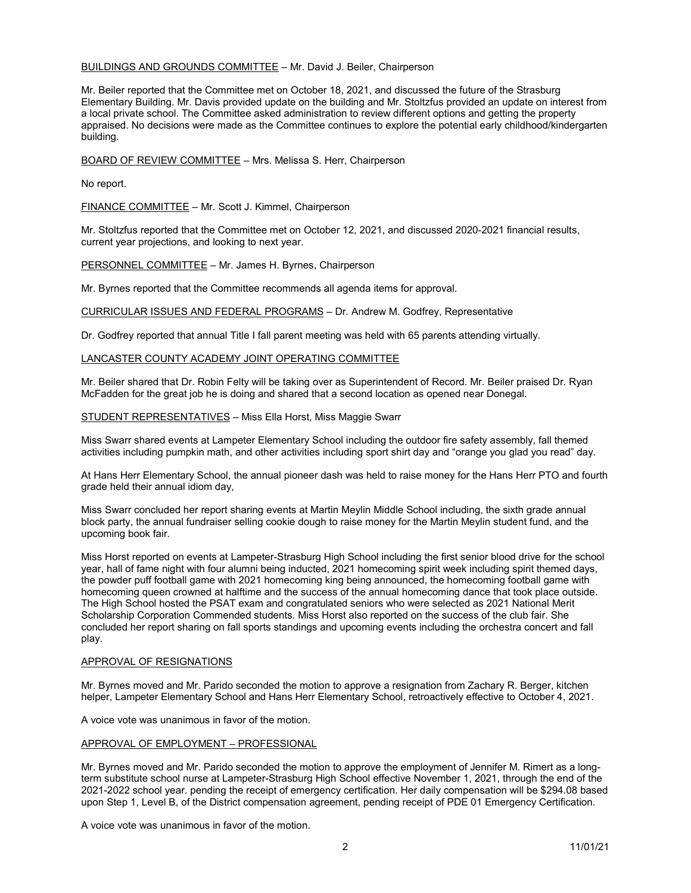# BUILDINGS AND GROUNDS COMMITTEE – Mr. David J. Beiler, Chairperson

Mr. Beiler reported that the Committee met on October 18, 2021, and discussed the future of the Strasburg Elementary Building. Mr. Davis provided update on the building and Mr. Stoltzfus provided an update on interest from a local private school. The Committee asked administration to review different options and getting the property appraised. No decisions were made as the Committee continues to explore the potential early childhood/kindergarten building.

BOARD OF REVIEW COMMITTEE – Mrs. Melissa S. Herr, Chairperson

No report.

FINANCE COMMITTEE – Mr. Scott J. Kimmel, Chairperson

Mr. Stoltzfus reported that the Committee met on October 12, 2021, and discussed 2020-2021 financial results, current year projections, and looking to next year.

PERSONNEL COMMITTEE – Mr. James H. Byrnes, Chairperson

Mr. Byrnes reported that the Committee recommends all agenda items for approval.

CURRICULAR ISSUES AND FEDERAL PROGRAMS – Dr. Andrew M. Godfrey, Representative

Dr. Godfrey reported that annual Title I fall parent meeting was held with 65 parents attending virtually.

# LANCASTER COUNTY ACADEMY JOINT OPERATING COMMITTEE

Mr. Beiler shared that Dr. Robin Felty will be taking over as Superintendent of Record. Mr. Beiler praised Dr. Ryan McFadden for the great job he is doing and shared that a second location as opened near Donegal.

STUDENT REPRESENTATIVES – Miss Ella Horst, Miss Maggie Swarr

Miss Swarr shared events at Lampeter Elementary School including the outdoor fire safety assembly, fall themed activities including pumpkin math, and other activities including sport shirt day and "orange you glad you read" day.

At Hans Herr Elementary School, the annual pioneer dash was held to raise money for the Hans Herr PTO and fourth grade held their annual idiom day,

Miss Swarr concluded her report sharing events at Martin Meylin Middle School including, the sixth grade annual block party, the annual fundraiser selling cookie dough to raise money for the Martin Meylin student fund, and the upcoming book fair.

Miss Horst reported on events at Lampeter-Strasburg High School including the first senior blood drive for the school year, hall of fame night with four alumni being inducted, 2021 homecoming spirit week including spirit themed days, the powder puff football game with 2021 homecoming king being announced, the homecoming football game with homecoming queen crowned at halftime and the success of the annual homecoming dance that took place outside. The High School hosted the PSAT exam and congratulated seniors who were selected as 2021 National Merit Scholarship Corporation Commended students. Miss Horst also reported on the success of the club fair. She concluded her report sharing on fall sports standings and upcoming events including the orchestra concert and fall play.

### APPROVAL OF RESIGNATIONS

Mr. Byrnes moved and Mr. Parido seconded the motion to approve a resignation from Zachary R. Berger, kitchen helper, Lampeter Elementary School and Hans Herr Elementary School, retroactively effective to October 4, 2021.

A voice vote was unanimous in favor of the motion.

## APPROVAL OF EMPLOYMENT – PROFESSIONAL

Mr. Byrnes moved and Mr. Parido seconded the motion to approve the employment of Jennifer M. Rimert as a longterm substitute school nurse at Lampeter-Strasburg High School effective November 1, 2021, through the end of the 2021-2022 school year. pending the receipt of emergency certification. Her daily compensation will be \$294.08 based upon Step 1, Level B, of the District compensation agreement, pending receipt of PDE 01 Emergency Certification.

A voice vote was unanimous in favor of the motion.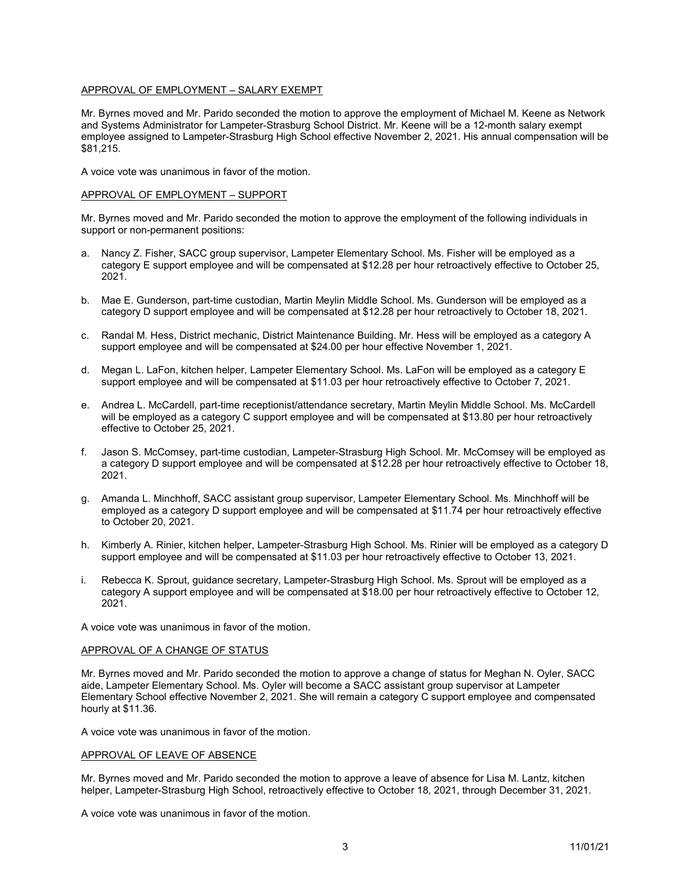# APPROVAL OF EMPLOYMENT – SALARY EXEMPT

Mr. Byrnes moved and Mr. Parido seconded the motion to approve the employment of Michael M. Keene as Network and Systems Administrator for Lampeter-Strasburg School District. Mr. Keene will be a 12-month salary exempt employee assigned to Lampeter-Strasburg High School effective November 2, 2021. His annual compensation will be \$81,215.

A voice vote was unanimous in favor of the motion.

#### APPROVAL OF EMPLOYMENT – SUPPORT

Mr. Byrnes moved and Mr. Parido seconded the motion to approve the employment of the following individuals in support or non-permanent positions:

- a. Nancy Z. Fisher, SACC group supervisor, Lampeter Elementary School. Ms. Fisher will be employed as a category E support employee and will be compensated at \$12.28 per hour retroactively effective to October 25, 2021.
- b. Mae E. Gunderson, part-time custodian, Martin Meylin Middle School. Ms. Gunderson will be employed as a category D support employee and will be compensated at \$12.28 per hour retroactively to October 18, 2021.
- c. Randal M. Hess, District mechanic, District Maintenance Building. Mr. Hess will be employed as a category A support employee and will be compensated at \$24.00 per hour effective November 1, 2021.
- d. Megan L. LaFon, kitchen helper, Lampeter Elementary School. Ms. LaFon will be employed as a category E support employee and will be compensated at \$11.03 per hour retroactively effective to October 7, 2021.
- e. Andrea L. McCardell, part-time receptionist/attendance secretary, Martin Meylin Middle School. Ms. McCardell will be employed as a category C support employee and will be compensated at \$13.80 per hour retroactively effective to October 25, 2021.
- f. Jason S. McComsey, part-time custodian, Lampeter-Strasburg High School. Mr. McComsey will be employed as a category D support employee and will be compensated at \$12.28 per hour retroactively effective to October 18, 2021.
- g. Amanda L. Minchhoff, SACC assistant group supervisor, Lampeter Elementary School. Ms. Minchhoff will be employed as a category D support employee and will be compensated at \$11.74 per hour retroactively effective to October 20, 2021.
- h. Kimberly A. Rinier, kitchen helper, Lampeter-Strasburg High School. Ms. Rinier will be employed as a category D support employee and will be compensated at \$11.03 per hour retroactively effective to October 13, 2021.
- i. Rebecca K. Sprout, guidance secretary, Lampeter-Strasburg High School. Ms. Sprout will be employed as a category A support employee and will be compensated at \$18.00 per hour retroactively effective to October 12, 2021.

A voice vote was unanimous in favor of the motion.

# APPROVAL OF A CHANGE OF STATUS

Mr. Byrnes moved and Mr. Parido seconded the motion to approve a change of status for Meghan N. Oyler, SACC aide, Lampeter Elementary School. Ms. Oyler will become a SACC assistant group supervisor at Lampeter Elementary School effective November 2, 2021. She will remain a category C support employee and compensated hourly at \$11.36.

A voice vote was unanimous in favor of the motion.

### APPROVAL OF LEAVE OF ABSENCE

Mr. Byrnes moved and Mr. Parido seconded the motion to approve a leave of absence for Lisa M. Lantz, kitchen helper, Lampeter-Strasburg High School, retroactively effective to October 18, 2021, through December 31, 2021.

A voice vote was unanimous in favor of the motion.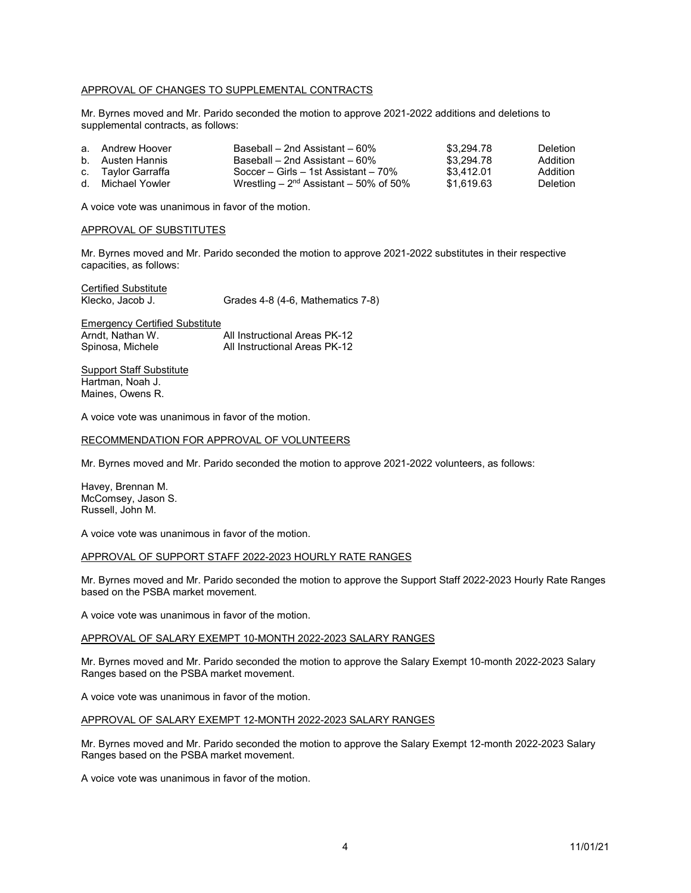# APPROVAL OF CHANGES TO SUPPLEMENTAL CONTRACTS

Mr. Byrnes moved and Mr. Parido seconded the motion to approve 2021-2022 additions and deletions to supplemental contracts, as follows:

| a. Andrew Hoover   | Baseball – 2nd Assistant – 60%           | \$3.294.78 | Deletion. |
|--------------------|------------------------------------------|------------|-----------|
| b. Austen Hannis   | Baseball – 2nd Assistant – 60%           | \$3.294.78 | Addition  |
| c. Taylor Garraffa | Soccer – Girls – 1st Assistant – 70%     | \$3.412.01 | Addition  |
| d. Michael Yowler  | Wrestling – $2nd$ Assistant – 50% of 50% | \$1.619.63 | Deletion. |

A voice vote was unanimous in favor of the motion.

# APPROVAL OF SUBSTITUTES

Mr. Byrnes moved and Mr. Parido seconded the motion to approve 2021-2022 substitutes in their respective capacities, as follows:

Certified Substitute<br>Klecko, Jacob J.

Grades 4-8 (4-6, Mathematics 7-8)

Emergency Certified Substitute<br>Arndt, Nathan W. All Instructional Areas PK-12 Arndt, Nathan W.<br>Spinosa, Michele All Instructional Areas PK-12

**Support Staff Substitute** Hartman, Noah J. Maines, Owens R.

A voice vote was unanimous in favor of the motion.

# RECOMMENDATION FOR APPROVAL OF VOLUNTEERS

Mr. Byrnes moved and Mr. Parido seconded the motion to approve 2021-2022 volunteers, as follows:

Havey, Brennan M. McComsey, Jason S. Russell, John M.

A voice vote was unanimous in favor of the motion.

### APPROVAL OF SUPPORT STAFF 2022-2023 HOURLY RATE RANGES

Mr. Byrnes moved and Mr. Parido seconded the motion to approve the Support Staff 2022-2023 Hourly Rate Ranges based on the PSBA market movement.

A voice vote was unanimous in favor of the motion.

# APPROVAL OF SALARY EXEMPT 10-MONTH 2022-2023 SALARY RANGES

Mr. Byrnes moved and Mr. Parido seconded the motion to approve the Salary Exempt 10-month 2022-2023 Salary Ranges based on the PSBA market movement.

A voice vote was unanimous in favor of the motion.

### APPROVAL OF SALARY EXEMPT 12-MONTH 2022-2023 SALARY RANGES

Mr. Byrnes moved and Mr. Parido seconded the motion to approve the Salary Exempt 12-month 2022-2023 Salary Ranges based on the PSBA market movement.

A voice vote was unanimous in favor of the motion.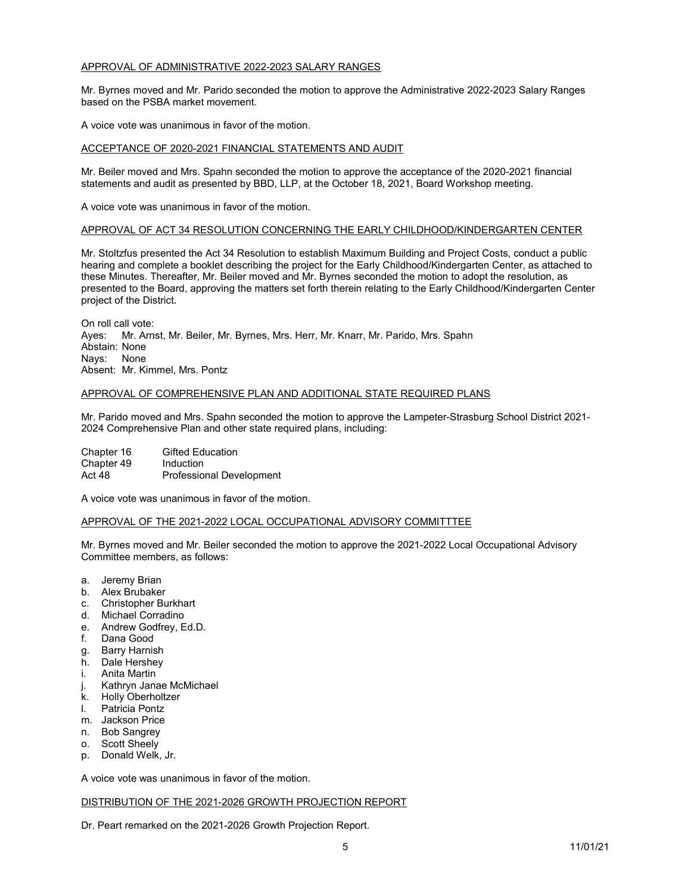# APPROVAL OF ADMINISTRATIVE 2022-2023 SALARY RANGES

Mr. Byrnes moved and Mr. Parido seconded the motion to approve the Administrative 2022-2023 Salary Ranges based on the PSBA market movement.

A voice vote was unanimous in favor of the motion.

# ACCEPTANCE OF 2020-2021 FINANCIAL STATEMENTS AND AUDIT

Mr. Beiler moved and Mrs. Spahn seconded the motion to approve the acceptance of the 2020-2021 financial statements and audit as presented by BBD, LLP, at the October 18, 2021, Board Workshop meeting.

A voice vote was unanimous in favor of the motion.

# APPROVAL OF ACT 34 RESOLUTION CONCERNING THE EARLY CHILDHOOD/KINDERGARTEN CENTER

Mr. Stoltzfus presented the Act 34 Resolution to establish Maximum Building and Project Costs, conduct a public hearing and complete a booklet describing the project for the Early Childhood/Kindergarten Center, as attached to these Minutes. Thereafter, Mr. Beiler moved and Mr. Byrnes seconded the motion to adopt the resolution, as presented to the Board, approving the matters set forth therein relating to the Early Childhood/Kindergarten Center project of the District.

On roll call vote: Ayes: Mr. Arnst, Mr. Beiler, Mr. Byrnes, Mrs. Herr, Mr. Knarr, Mr. Parido, Mrs. Spahn Abstain: None Nays: None Absent: Mr. Kimmel, Mrs. Pontz

### APPROVAL OF COMPREHENSIVE PLAN AND ADDITIONAL STATE REQUIRED PLANS

Mr. Parido moved and Mrs. Spahn seconded the motion to approve the Lampeter-Strasburg School District 2021- 2024 Comprehensive Plan and other state required plans, including:

Chapter 16 Gifted Education<br>Chapter 49 Induction Chapter 49<br>Act 48 Professional Development

A voice vote was unanimous in favor of the motion.

### APPROVAL OF THE 2021-2022 LOCAL OCCUPATIONAL ADVISORY COMMITTTEE

Mr. Byrnes moved and Mr. Beiler seconded the motion to approve the 2021-2022 Local Occupational Advisory Committee members, as follows:

- a. Jeremy Brian
- b. Alex Brubaker
- c. Christopher Burkhart
- d. Michael Corradino
- e. Andrew Godfrey, Ed.D.
- f. Dana Good
- g. Barry Harnish
- h. Dale Hershey
- i. Anita Martin
- j. Kathryn Janae McMichael
- k. Holly Oberholtzer
- l. Patricia Pontz
- m. Jackson Price
- n. Bob Sangrey
- o. Scott Sheely
- p. Donald Welk, Jr.

A voice vote was unanimous in favor of the motion.

# DISTRIBUTION OF THE 2021-2026 GROWTH PROJECTION REPORT

Dr. Peart remarked on the 2021-2026 Growth Projection Report.